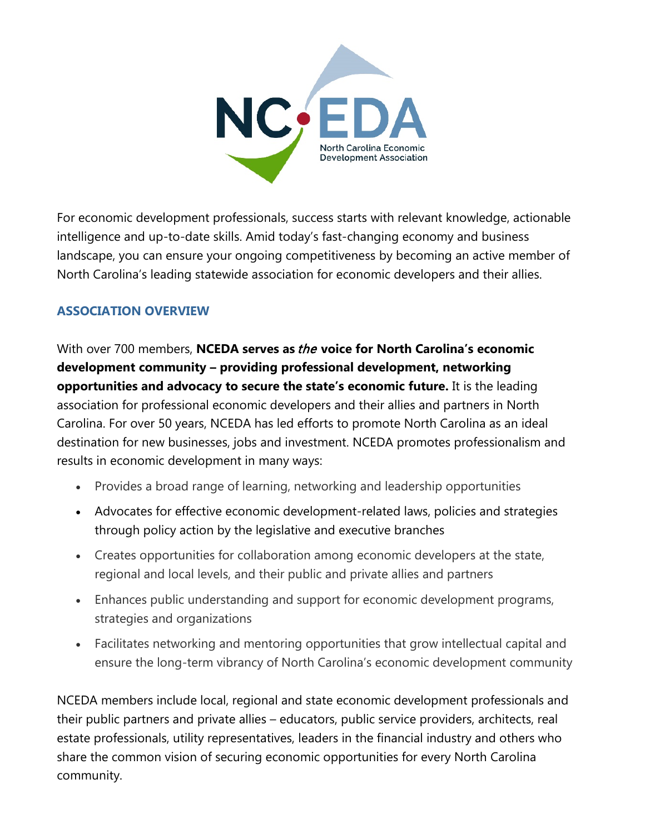

For economic development professionals, success starts with relevant knowledge, actionable intelligence and up-to-date skills. Amid today's fast-changing economy and business landscape, you can ensure your ongoing competitiveness by becoming an active member of North Carolina's leading statewide association for economic developers and their allies.

# **ASSOCIATION OVERVIEW**

With over 700 members, **NCEDA serves as** the **voice for North Carolina's economic development community – providing professional development, networking opportunities and advocacy to secure the state's economic future.** It is the leading association for professional economic developers and their allies and partners in North Carolina. For over 50 years, NCEDA has led efforts to promote North Carolina as an ideal destination for new businesses, jobs and investment. NCEDA promotes professionalism and results in economic development in many ways:

- Provides a broad range of learning, networking and leadership opportunities
- Advocates for effective economic development-related laws, policies and strategies through policy action by the legislative and executive branches
- Creates opportunities for collaboration among economic developers at the state, regional and local levels, and their public and private allies and partners
- Enhances public understanding and support for economic development programs, strategies and organizations
- Facilitates networking and mentoring opportunities that grow intellectual capital and ensure the long-term vibrancy of North Carolina's economic development community

NCEDA members include local, regional and state economic development professionals and their public partners and private allies – educators, public service providers, architects, real estate professionals, utility representatives, leaders in the financial industry and others who share the common vision of securing economic opportunities for every North Carolina community.